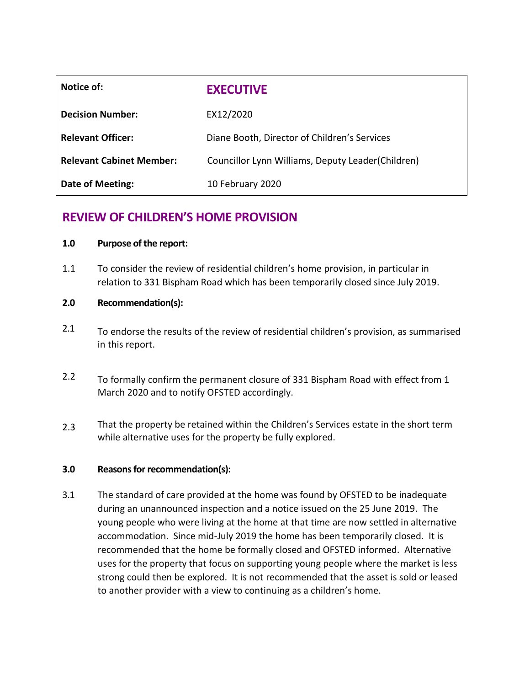| Notice of:                      | <b>EXECUTIVE</b>                                  |
|---------------------------------|---------------------------------------------------|
| <b>Decision Number:</b>         | EX12/2020                                         |
| <b>Relevant Officer:</b>        | Diane Booth, Director of Children's Services      |
| <b>Relevant Cabinet Member:</b> | Councillor Lynn Williams, Deputy Leader(Children) |
| <b>Date of Meeting:</b>         | 10 February 2020                                  |

# **REVIEW OF CHILDREN'S HOME PROVISION**

## **1.0 Purpose of the report:**

1.1 To consider the review of residential children's home provision, in particular in relation to 331 Bispham Road which has been temporarily closed since July 2019.

## **2.0 Recommendation(s):**

- 2.1 To endorse the results of the review of residential children's provision, as summarised in this report.
- 2.2 To formally confirm the permanent closure of 331 Bispham Road with effect from 1 March 2020 and to notify OFSTED accordingly.
- 2.3 That the property be retained within the Children's Services estate in the short term while alternative uses for the property be fully explored.

## **3.0 Reasons for recommendation(s):**

3.1 The standard of care provided at the home was found by OFSTED to be inadequate during an unannounced inspection and a notice issued on the 25 June 2019. The young people who were living at the home at that time are now settled in alternative accommodation. Since mid-July 2019 the home has been temporarily closed. It is recommended that the home be formally closed and OFSTED informed. Alternative uses for the property that focus on supporting young people where the market is less strong could then be explored. It is not recommended that the asset is sold or leased to another provider with a view to continuing as a children's home.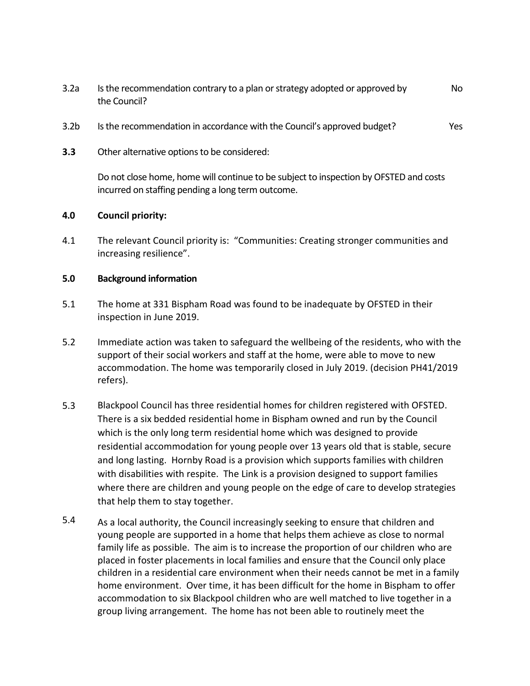- 3.2a Is the recommendation contrary to a plan or strategy adopted or approved by the Council? No
- 3.2b Is the recommendation in accordance with the Council's approved budget? Yes
- **3.3** Other alternative options to be considered:

Do not close home, home will continue to be subject to inspection by OFSTED and costs incurred on staffing pending a long term outcome.

#### **4.0 Council priority:**

4.1 The relevant Council priority is: "Communities: Creating stronger communities and increasing resilience".

#### **5.0 Background information**

- 5.1 The home at 331 Bispham Road was found to be inadequate by OFSTED in their inspection in June 2019.
- 5.2 Immediate action was taken to safeguard the wellbeing of the residents, who with the support of their social workers and staff at the home, were able to move to new accommodation. The home was temporarily closed in July 2019. (decision PH41/2019 refers).
- 5.3 Blackpool Council has three residential homes for children registered with OFSTED. There is a six bedded residential home in Bispham owned and run by the Council which is the only long term residential home which was designed to provide residential accommodation for young people over 13 years old that is stable, secure and long lasting. Hornby Road is a provision which supports families with children with disabilities with respite. The Link is a provision designed to support families where there are children and young people on the edge of care to develop strategies that help them to stay together.
- 5.4 As a local authority, the Council increasingly seeking to ensure that children and young people are supported in a home that helps them achieve as close to normal family life as possible. The aim is to increase the proportion of our children who are placed in foster placements in local families and ensure that the Council only place children in a residential care environment when their needs cannot be met in a family home environment. Over time, it has been difficult for the home in Bispham to offer accommodation to six Blackpool children who are well matched to live together in a group living arrangement. The home has not been able to routinely meet the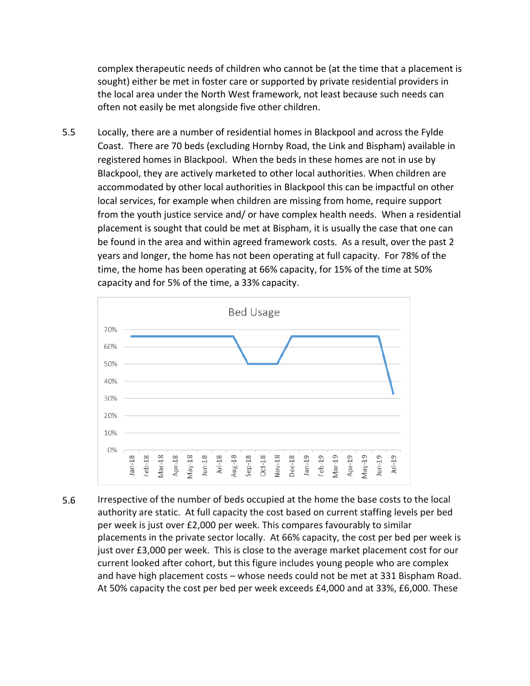complex therapeutic needs of children who cannot be (at the time that a placement is sought) either be met in foster care or supported by private residential providers in the local area under the North West framework, not least because such needs can often not easily be met alongside five other children.

5.5 Locally, there are a number of residential homes in Blackpool and across the Fylde Coast. There are 70 beds (excluding Hornby Road, the Link and Bispham) available in registered homes in Blackpool. When the beds in these homes are not in use by Blackpool, they are actively marketed to other local authorities. When children are accommodated by other local authorities in Blackpool this can be impactful on other local services, for example when children are missing from home, require support from the youth justice service and/ or have complex health needs. When a residential placement is sought that could be met at Bispham, it is usually the case that one can be found in the area and within agreed framework costs. As a result, over the past 2 years and longer, the home has not been operating at full capacity. For 78% of the time, the home has been operating at 66% capacity, for 15% of the time at 50% capacity and for 5% of the time, a 33% capacity.



5.6 Irrespective of the number of beds occupied at the home the base costs to the local authority are static. At full capacity the cost based on current staffing levels per bed per week is just over £2,000 per week. This compares favourably to similar placements in the private sector locally. At 66% capacity, the cost per bed per week is just over £3,000 per week. This is close to the average market placement cost for our current looked after cohort, but this figure includes young people who are complex and have high placement costs – whose needs could not be met at 331 Bispham Road. At 50% capacity the cost per bed per week exceeds £4,000 and at 33%, £6,000. These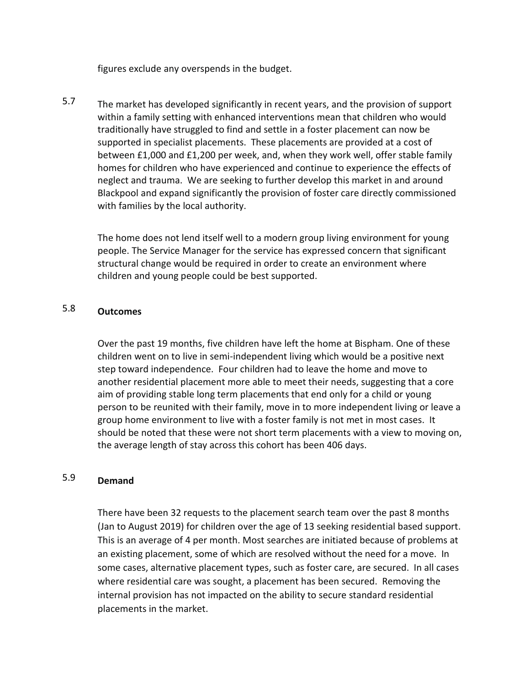figures exclude any overspends in the budget.

5.7 The market has developed significantly in recent years, and the provision of support within a family setting with enhanced interventions mean that children who would traditionally have struggled to find and settle in a foster placement can now be supported in specialist placements. These placements are provided at a cost of between £1,000 and £1,200 per week, and, when they work well, offer stable family homes for children who have experienced and continue to experience the effects of neglect and trauma. We are seeking to further develop this market in and around Blackpool and expand significantly the provision of foster care directly commissioned with families by the local authority.

The home does not lend itself well to a modern group living environment for young people. The Service Manager for the service has expressed concern that significant structural change would be required in order to create an environment where children and young people could be best supported.

## 5.8 **Outcomes**

Over the past 19 months, five children have left the home at Bispham. One of these children went on to live in semi-independent living which would be a positive next step toward independence. Four children had to leave the home and move to another residential placement more able to meet their needs, suggesting that a core aim of providing stable long term placements that end only for a child or young person to be reunited with their family, move in to more independent living or leave a group home environment to live with a foster family is not met in most cases. It should be noted that these were not short term placements with a view to moving on, the average length of stay across this cohort has been 406 days.

## 5.9 **Demand**

There have been 32 requests to the placement search team over the past 8 months (Jan to August 2019) for children over the age of 13 seeking residential based support. This is an average of 4 per month. Most searches are initiated because of problems at an existing placement, some of which are resolved without the need for a move. In some cases, alternative placement types, such as foster care, are secured. In all cases where residential care was sought, a placement has been secured. Removing the internal provision has not impacted on the ability to secure standard residential placements in the market.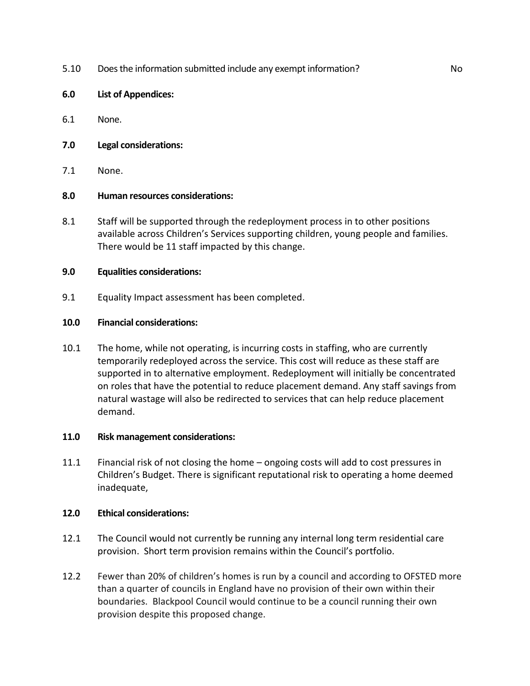- 5.10 Does the information submitted include any exempt information? No
- **6.0 List of Appendices:**
- 6.1 None.
- **7.0 Legal considerations:**
- 7.1 None.

## **8.0 Human resources considerations:**

8.1 Staff will be supported through the redeployment process in to other positions available across Children's Services supporting children, young people and families. There would be 11 staff impacted by this change.

## **9.0 Equalities considerations:**

9.1 Equality Impact assessment has been completed.

## **10.0 Financial considerations:**

10.1 The home, while not operating, is incurring costs in staffing, who are currently temporarily redeployed across the service. This cost will reduce as these staff are supported in to alternative employment. Redeployment will initially be concentrated on roles that have the potential to reduce placement demand. Any staff savings from natural wastage will also be redirected to services that can help reduce placement demand.

#### **11.0 Risk management considerations:**

11.1 Financial risk of not closing the home – ongoing costs will add to cost pressures in Children's Budget. There is significant reputational risk to operating a home deemed inadequate,

#### **12.0 Ethical considerations:**

- 12.1 The Council would not currently be running any internal long term residential care provision. Short term provision remains within the Council's portfolio.
- 12.2 Fewer than 20% of children's homes is run by a council and according to OFSTED more than a quarter of councils in England have no provision of their own within their boundaries. Blackpool Council would continue to be a council running their own provision despite this proposed change.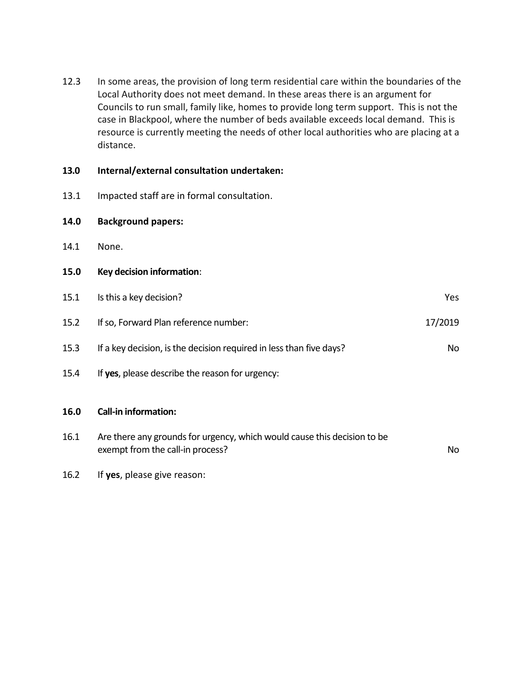12.3 In some areas, the provision of long term residential care within the boundaries of the Local Authority does not meet demand. In these areas there is an argument for Councils to run small, family like, homes to provide long term support. This is not the case in Blackpool, where the number of beds available exceeds local demand. This is resource is currently meeting the needs of other local authorities who are placing at a distance.

## **13.0 Internal/external consultation undertaken:**

13.1 Impacted staff are in formal consultation.

## **14.0 Background papers:**

- 14.1 None.
- **15.0 0Key decision information**:

| 15.1 | Is this a key decision?                                                  | Yes.    |
|------|--------------------------------------------------------------------------|---------|
| 15.2 | If so, Forward Plan reference number:                                    | 17/2019 |
| 15.3 | If a key decision, is the decision required in less than five days?      | No.     |
| 15.4 | If yes, please describe the reason for urgency:                          |         |
| 16.0 | <b>Call-in information:</b>                                              |         |
| 16.1 | Are there any grounds for urgency, which would cause this decision to be |         |

exempt from the call-in process? No

16.2 If **yes**, please give reason: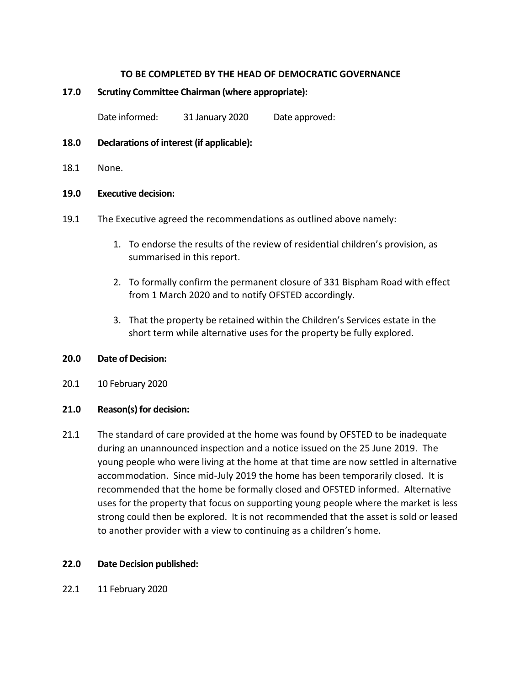## **TO BE COMPLETED BY THE HEAD OF DEMOCRATIC GOVERNANCE**

## **17.0 Scrutiny Committee Chairman (where appropriate):**

Date informed: 31 January 2020 Date approved:

- **18.0 Declarations of interest (if applicable):**
- 18.1 None.

#### **19.0 Executive decision:**

- 19.1 The Executive agreed the recommendations as outlined above namely:
	- 1. To endorse the results of the review of residential children's provision, as summarised in this report.
	- 2. To formally confirm the permanent closure of 331 Bispham Road with effect from 1 March 2020 and to notify OFSTED accordingly.
	- 3. That the property be retained within the Children's Services estate in the short term while alternative uses for the property be fully explored.

## **20.0 Date of Decision:**

20.1 10 February 2020

## **21.0 Reason(s) for decision:**

21.1 The standard of care provided at the home was found by OFSTED to be inadequate during an unannounced inspection and a notice issued on the 25 June 2019. The young people who were living at the home at that time are now settled in alternative accommodation. Since mid-July 2019 the home has been temporarily closed. It is recommended that the home be formally closed and OFSTED informed. Alternative uses for the property that focus on supporting young people where the market is less strong could then be explored. It is not recommended that the asset is sold or leased to another provider with a view to continuing as a children's home.

#### **22.0 1Date Decision published:**

22.1 11 February 2020